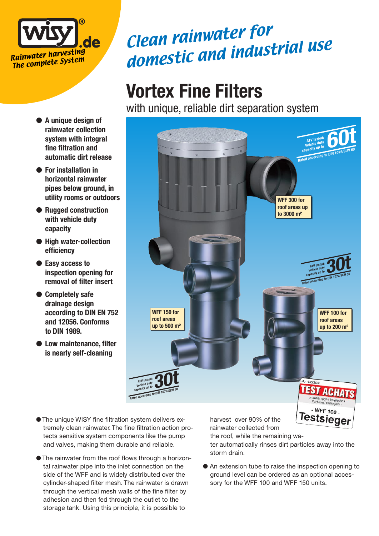

- A unique design of **rainwater collection system with integral fine filtration and automatic dirt release**
- For installation in **horizontal rainwater pipes below ground, in utility rooms or outdoors**
- Rugged construction **with vehicle duty capacity**
- High water-collection **efficiency**
- Easy access to **inspection opening for removal of filter insert**
- Completely safe **drainage design according to DIN EN 752 and 12056. Conforms to DIN 1989.**
- Low maintenance, filter **is nearly self-cleaning**

## Clean rainwater for domestic and industrial use

## **Vortex Fine Filters**

with unique, reliable dirt separation system



- The unique WISY fine filtration system delivers extremely clean rainwater. The fine filtration action protects sensitive system components like the pump and valves, making them durable and reliable.
- The rainwater from the roof flows through a horizontal rainwater pipe into the inlet connection on the side of the WFF and is widely distributed over the cylinder-shaped filter mesh. The rainwater is drawn through the vertical mesh walls of the fine filter by adhesion and then fed through the outlet to the storage tank. Using this principle, it is possible to

harvest over 90% of the rainwater collected from

the roof, while the remaining wa-

ter automatically rinses dirt particles away into the storm drain.

● An extension tube to raise the inspection opening to ground level can be ordered as an optional accessory for the WFF 100 and WFF 150 units.